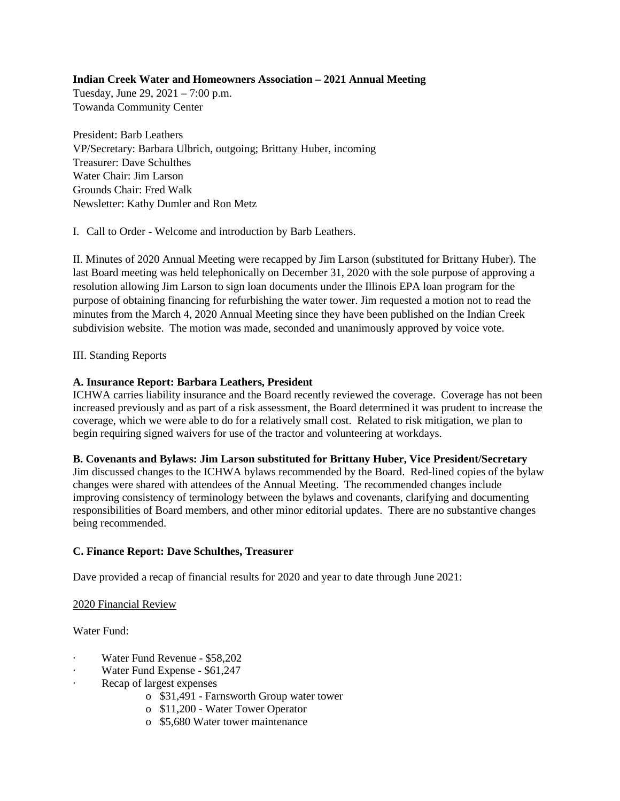# **Indian Creek Water and Homeowners Association – 2021 Annual Meeting**

Tuesday, June 29, 2021 – 7:00 p.m. Towanda Community Center

President: Barb Leathers VP/Secretary: Barbara Ulbrich, outgoing; Brittany Huber, incoming Treasurer: Dave Schulthes Water Chair: Jim Larson Grounds Chair: Fred Walk Newsletter: Kathy Dumler and Ron Metz

I. Call to Order - Welcome and introduction by Barb Leathers.

II. Minutes of 2020 Annual Meeting were recapped by Jim Larson (substituted for Brittany Huber). The last Board meeting was held telephonically on December 31, 2020 with the sole purpose of approving a resolution allowing Jim Larson to sign loan documents under the Illinois EPA loan program for the purpose of obtaining financing for refurbishing the water tower. Jim requested a motion not to read the minutes from the March 4, 2020 Annual Meeting since they have been published on the Indian Creek subdivision website. The motion was made, seconded and unanimously approved by voice vote.

# III. Standing Reports

# **A. Insurance Report: Barbara Leathers, President**

ICHWA carries liability insurance and the Board recently reviewed the coverage. Coverage has not been increased previously and as part of a risk assessment, the Board determined it was prudent to increase the coverage, which we were able to do for a relatively small cost. Related to risk mitigation, we plan to begin requiring signed waivers for use of the tractor and volunteering at workdays.

# **B. Covenants and Bylaws: Jim Larson substituted for Brittany Huber, Vice President/Secretary**

Jim discussed changes to the ICHWA bylaws recommended by the Board. Red-lined copies of the bylaw changes were shared with attendees of the Annual Meeting. The recommended changes include improving consistency of terminology between the bylaws and covenants, clarifying and documenting responsibilities of Board members, and other minor editorial updates. There are no substantive changes being recommended.

# **C. Finance Report: Dave Schulthes, Treasurer**

Dave provided a recap of financial results for 2020 and year to date through June 2021:

# 2020 Financial Review

Water Fund:

- · Water Fund Revenue \$58,202
- Water Fund Expense \$61,247
- Recap of largest expenses
	- o \$31,491 Farnsworth Group water tower
	- o \$11,200 Water Tower Operator
	- o \$5,680 Water tower maintenance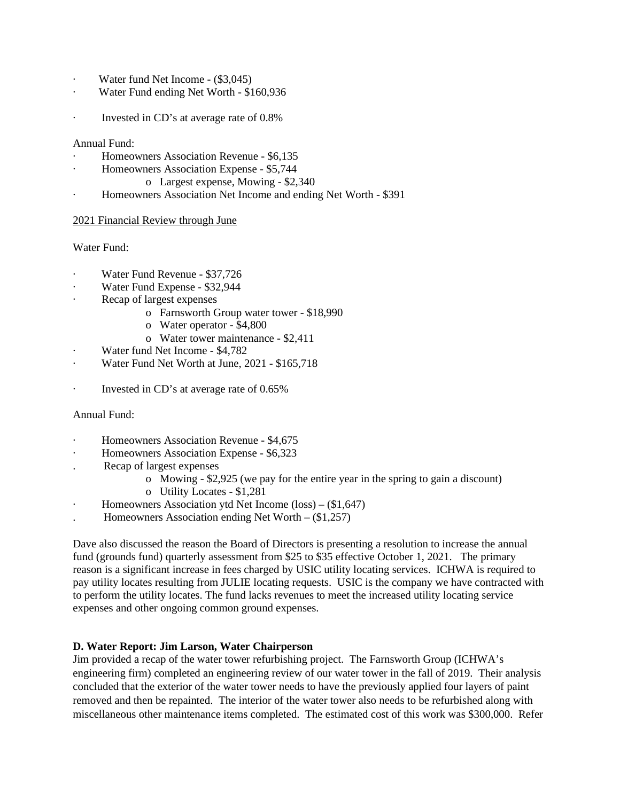- · Water fund Net Income (\$3,045)
- · Water Fund ending Net Worth \$160,936
- Invested in CD's at average rate of  $0.8\%$

#### Annual Fund:

- · Homeowners Association Revenue \$6,135
- · Homeowners Association Expense \$5,744
	- o Largest expense, Mowing \$2,340
- · Homeowners Association Net Income and ending Net Worth \$391

### 2021 Financial Review through June

### Water Fund:

- Water Fund Revenue \$37,726
- Water Fund Expense \$32,944
- Recap of largest expenses
	- o Farnsworth Group water tower \$18,990
	- o Water operator \$4,800
	- o Water tower maintenance \$2,411
- Water fund Net Income \$4,782
- · Water Fund Net Worth at June, 2021 \$165,718
- · Invested in CD's at average rate of 0.65%

# Annual Fund:

- · Homeowners Association Revenue \$4,675
- · Homeowners Association Expense \$6,323
- . Recap of largest expenses
	- o Mowing \$2,925 (we pay for the entire year in the spring to gain a discount)
	- o Utility Locates \$1,281
- · Homeowners Association ytd Net Income (loss) (\$1,647)
- . Homeowners Association ending Net Worth (\$1,257)

Dave also discussed the reason the Board of Directors is presenting a resolution to increase the annual fund (grounds fund) quarterly assessment from \$25 to \$35 effective October 1, 2021. The primary reason is a significant increase in fees charged by USIC utility locating services. ICHWA is required to pay utility locates resulting from JULIE locating requests. USIC is the company we have contracted with to perform the utility locates. The fund lacks revenues to meet the increased utility locating service expenses and other ongoing common ground expenses.

# **D. Water Report: Jim Larson, Water Chairperson**

Jim provided a recap of the water tower refurbishing project. The Farnsworth Group (ICHWA's engineering firm) completed an engineering review of our water tower in the fall of 2019. Their analysis concluded that the exterior of the water tower needs to have the previously applied four layers of paint removed and then be repainted. The interior of the water tower also needs to be refurbished along with miscellaneous other maintenance items completed. The estimated cost of this work was \$300,000. Refer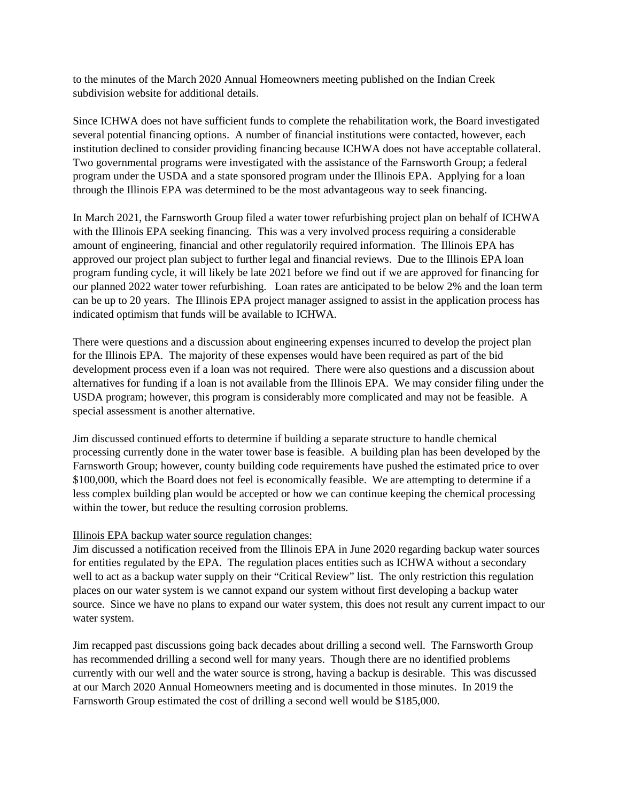to the minutes of the March 2020 Annual Homeowners meeting published on the Indian Creek subdivision website for additional details.

Since ICHWA does not have sufficient funds to complete the rehabilitation work, the Board investigated several potential financing options. A number of financial institutions were contacted, however, each institution declined to consider providing financing because ICHWA does not have acceptable collateral. Two governmental programs were investigated with the assistance of the Farnsworth Group; a federal program under the USDA and a state sponsored program under the Illinois EPA. Applying for a loan through the Illinois EPA was determined to be the most advantageous way to seek financing.

In March 2021, the Farnsworth Group filed a water tower refurbishing project plan on behalf of ICHWA with the Illinois EPA seeking financing. This was a very involved process requiring a considerable amount of engineering, financial and other regulatorily required information. The Illinois EPA has approved our project plan subject to further legal and financial reviews. Due to the Illinois EPA loan program funding cycle, it will likely be late 2021 before we find out if we are approved for financing for our planned 2022 water tower refurbishing. Loan rates are anticipated to be below 2% and the loan term can be up to 20 years. The Illinois EPA project manager assigned to assist in the application process has indicated optimism that funds will be available to ICHWA.

There were questions and a discussion about engineering expenses incurred to develop the project plan for the Illinois EPA. The majority of these expenses would have been required as part of the bid development process even if a loan was not required. There were also questions and a discussion about alternatives for funding if a loan is not available from the Illinois EPA. We may consider filing under the USDA program; however, this program is considerably more complicated and may not be feasible. A special assessment is another alternative.

Jim discussed continued efforts to determine if building a separate structure to handle chemical processing currently done in the water tower base is feasible. A building plan has been developed by the Farnsworth Group; however, county building code requirements have pushed the estimated price to over \$100,000, which the Board does not feel is economically feasible. We are attempting to determine if a less complex building plan would be accepted or how we can continue keeping the chemical processing within the tower, but reduce the resulting corrosion problems.

# Illinois EPA backup water source regulation changes:

Jim discussed a notification received from the Illinois EPA in June 2020 regarding backup water sources for entities regulated by the EPA. The regulation places entities such as ICHWA without a secondary well to act as a backup water supply on their "Critical Review" list. The only restriction this regulation places on our water system is we cannot expand our system without first developing a backup water source. Since we have no plans to expand our water system, this does not result any current impact to our water system.

Jim recapped past discussions going back decades about drilling a second well. The Farnsworth Group has recommended drilling a second well for many years. Though there are no identified problems currently with our well and the water source is strong, having a backup is desirable. This was discussed at our March 2020 Annual Homeowners meeting and is documented in those minutes. In 2019 the Farnsworth Group estimated the cost of drilling a second well would be \$185,000.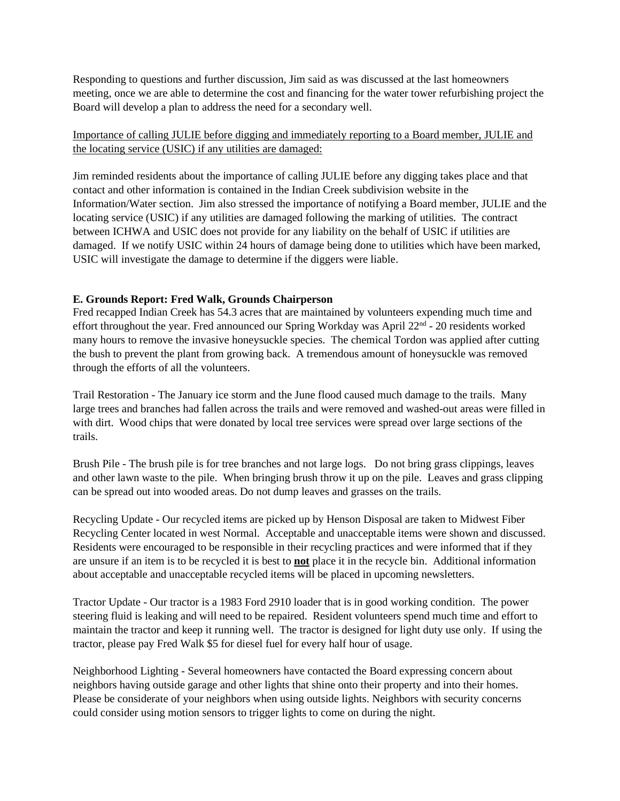Responding to questions and further discussion, Jim said as was discussed at the last homeowners meeting, once we are able to determine the cost and financing for the water tower refurbishing project the Board will develop a plan to address the need for a secondary well.

# Importance of calling JULIE before digging and immediately reporting to a Board member, JULIE and the locating service (USIC) if any utilities are damaged:

Jim reminded residents about the importance of calling JULIE before any digging takes place and that contact and other information is contained in the Indian Creek subdivision website in the Information/Water section. Jim also stressed the importance of notifying a Board member, JULIE and the locating service (USIC) if any utilities are damaged following the marking of utilities. The contract between ICHWA and USIC does not provide for any liability on the behalf of USIC if utilities are damaged. If we notify USIC within 24 hours of damage being done to utilities which have been marked, USIC will investigate the damage to determine if the diggers were liable.

# **E. Grounds Report: Fred Walk, Grounds Chairperson**

Fred recapped Indian Creek has 54.3 acres that are maintained by volunteers expending much time and effort throughout the year. Fred announced our Spring Workday was April 22nd - 20 residents worked many hours to remove the invasive honeysuckle species. The chemical Tordon was applied after cutting the bush to prevent the plant from growing back. A tremendous amount of honeysuckle was removed through the efforts of all the volunteers.

Trail Restoration - The January ice storm and the June flood caused much damage to the trails. Many large trees and branches had fallen across the trails and were removed and washed-out areas were filled in with dirt. Wood chips that were donated by local tree services were spread over large sections of the trails.

Brush Pile - The brush pile is for tree branches and not large logs. Do not bring grass clippings, leaves and other lawn waste to the pile. When bringing brush throw it up on the pile. Leaves and grass clipping can be spread out into wooded areas. Do not dump leaves and grasses on the trails.

Recycling Update - Our recycled items are picked up by Henson Disposal are taken to Midwest Fiber Recycling Center located in west Normal. Acceptable and unacceptable items were shown and discussed. Residents were encouraged to be responsible in their recycling practices and were informed that if they are unsure if an item is to be recycled it is best to **not** place it in the recycle bin. Additional information about acceptable and unacceptable recycled items will be placed in upcoming newsletters.

Tractor Update - Our tractor is a 1983 Ford 2910 loader that is in good working condition. The power steering fluid is leaking and will need to be repaired. Resident volunteers spend much time and effort to maintain the tractor and keep it running well. The tractor is designed for light duty use only. If using the tractor, please pay Fred Walk \$5 for diesel fuel for every half hour of usage.

Neighborhood Lighting - Several homeowners have contacted the Board expressing concern about neighbors having outside garage and other lights that shine onto their property and into their homes. Please be considerate of your neighbors when using outside lights. Neighbors with security concerns could consider using motion sensors to trigger lights to come on during the night.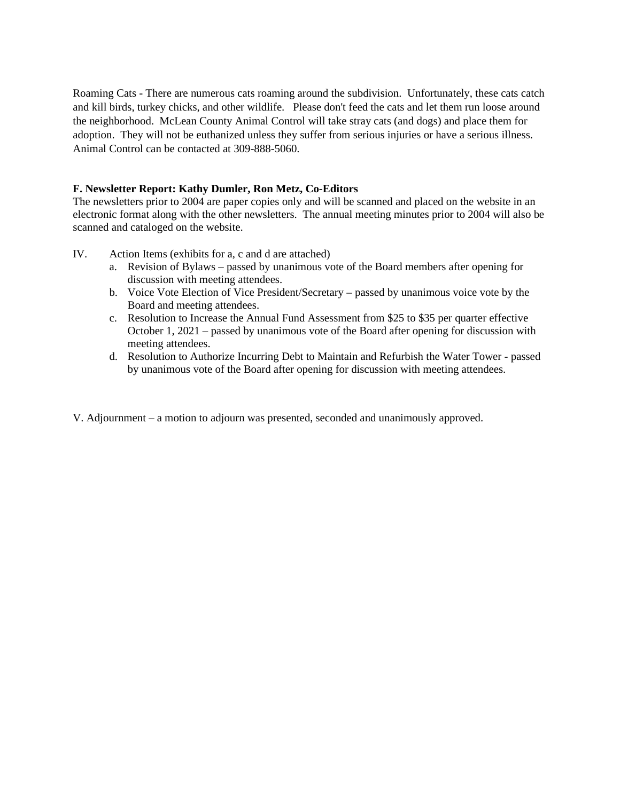Roaming Cats - There are numerous cats roaming around the subdivision. Unfortunately, these cats catch and kill birds, turkey chicks, and other wildlife. Please don't feed the cats and let them run loose around the neighborhood. McLean County Animal Control will take stray cats (and dogs) and place them for adoption. They will not be euthanized unless they suffer from serious injuries or have a serious illness. Animal Control can be contacted at 309-888-5060.

# **F. Newsletter Report: Kathy Dumler, Ron Metz, Co-Editors**

The newsletters prior to 2004 are paper copies only and will be scanned and placed on the website in an electronic format along with the other newsletters. The annual meeting minutes prior to 2004 will also be scanned and cataloged on the website.

- IV. Action Items (exhibits for a, c and d are attached)
	- a. Revision of Bylaws passed by unanimous vote of the Board members after opening for discussion with meeting attendees.
	- b. Voice Vote Election of Vice President/Secretary passed by unanimous voice vote by the Board and meeting attendees.
	- c. Resolution to Increase the Annual Fund Assessment from \$25 to \$35 per quarter effective October 1, 2021 – passed by unanimous vote of the Board after opening for discussion with meeting attendees.
	- d. Resolution to Authorize Incurring Debt to Maintain and Refurbish the Water Tower passed by unanimous vote of the Board after opening for discussion with meeting attendees.
- V. Adjournment a motion to adjourn was presented, seconded and unanimously approved.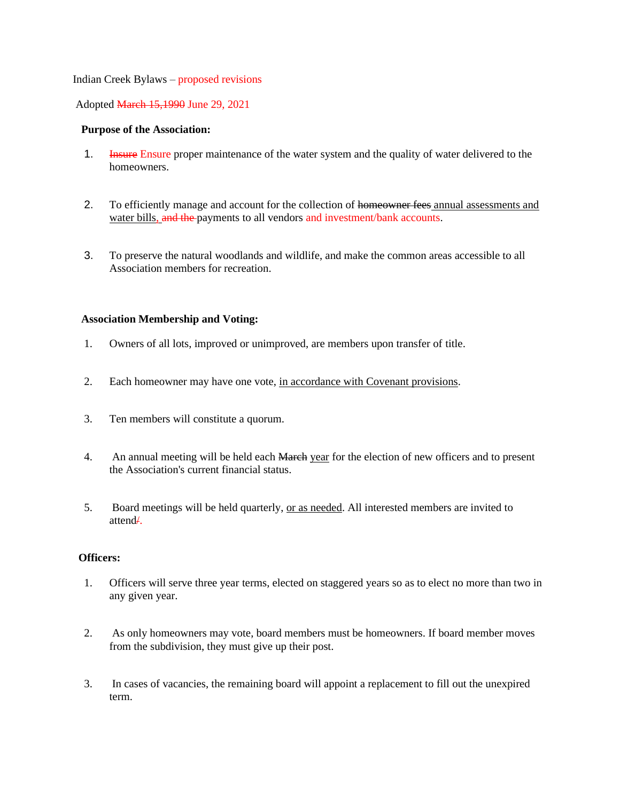#### Indian Creek Bylaws – proposed revisions

### Adopted March 15,1990 June 29, 2021

### **Purpose of the Association:**

- 1. Insure Ensure proper maintenance of the water system and the quality of water delivered to the homeowners.
- 2. To efficiently manage and account for the collection of homeowner fees annual assessments and water bills, and the payments to all vendors and investment/bank accounts.
- 3. To preserve the natural woodlands and wildlife, and make the common areas accessible to all Association members for recreation.

### **Association Membership and Voting:**

- 1. Owners of all lots, improved or unimproved, are members upon transfer of title.
- 2. Each homeowner may have one vote, in accordance with Covenant provisions.
- 3. Ten members will constitute a quorum.
- 4. An annual meeting will be held each March year for the election of new officers and to present the Association's current financial status.
- 5. Board meetings will be held quarterly, or as needed. All interested members are invited to attend/.

### **Officers:**

- 1. Officers will serve three year terms, elected on staggered years so as to elect no more than two in any given year.
- 2. As only homeowners may vote, board members must be homeowners. If board member moves from the subdivision, they must give up their post.
- 3. In cases of vacancies, the remaining board will appoint a replacement to fill out the unexpired term.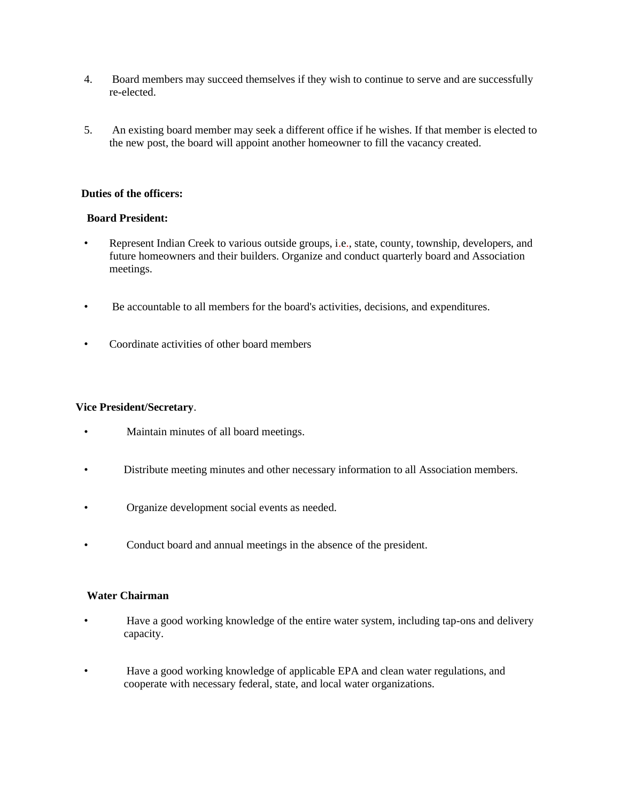- 4. Board members may succeed themselves if they wish to continue to serve and are successfully re-elected.
- 5. An existing board member may seek a different office if he wishes. If that member is elected to the new post, the board will appoint another homeowner to fill the vacancy created.

### **Duties of the officers:**

# **Board President:**

- Represent Indian Creek to various outside groups, i.e., state, county, township, developers, and future homeowners and their builders. Organize and conduct quarterly board and Association meetings.
- Be accountable to all members for the board's activities, decisions, and expenditures.
- Coordinate activities of other board members

### **Vice President/Secretary**.

- Maintain minutes of all board meetings.
- Distribute meeting minutes and other necessary information to all Association members.
- Organize development social events as needed.
- Conduct board and annual meetings in the absence of the president.

# **Water Chairman**

- Have a good working knowledge of the entire water system, including tap-ons and delivery capacity.
- Have a good working knowledge of applicable EPA and clean water regulations, and cooperate with necessary federal, state, and local water organizations.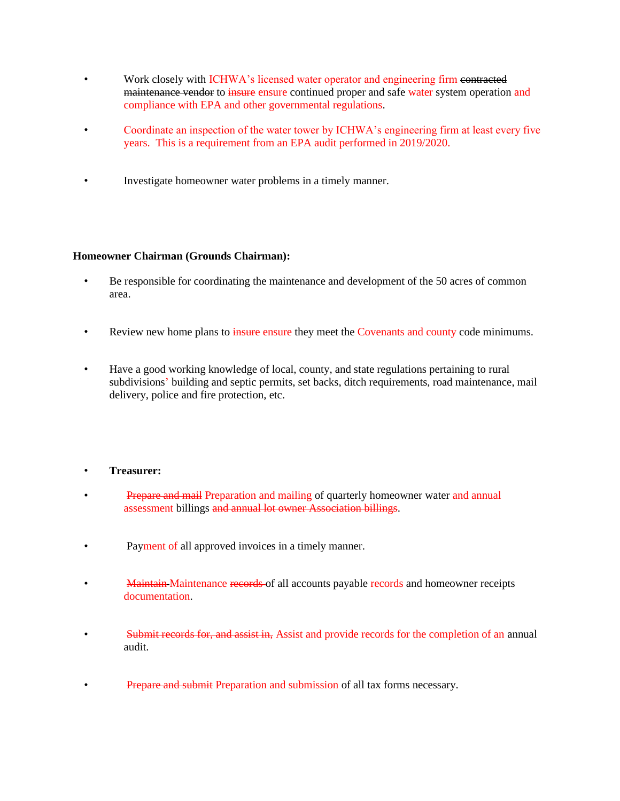- Work closely with ICHWA's licensed water operator and engineering firm contracted maintenance vendor to insure ensure continued proper and safe water system operation and compliance with EPA and other governmental regulations.
- Coordinate an inspection of the water tower by ICHWA's engineering firm at least every five years. This is a requirement from an EPA audit performed in 2019/2020.
- Investigate homeowner water problems in a timely manner.

# **Homeowner Chairman (Grounds Chairman):**

- Be responsible for coordinating the maintenance and development of the 50 acres of common area.
- Review new home plans to insure ensure they meet the Covenants and county code minimums.
- Have a good working knowledge of local, county, and state regulations pertaining to rural subdivisions' building and septic permits, set backs, ditch requirements, road maintenance, mail delivery, police and fire protection, etc.

# • **Treasurer:**

- **Prepare and mail Preparation and mailing of quarterly homeowner water and annual** assessment billings and annual lot owner Association billings.
- Payment of all approved invoices in a timely manner.
- Maintain Maintenance records of all accounts payable records and homeowner receipts documentation.
- Submit records for, and assist in, Assist and provide records for the completion of an annual audit.
- **Prepare and submit Preparation and submission of all tax forms necessary.**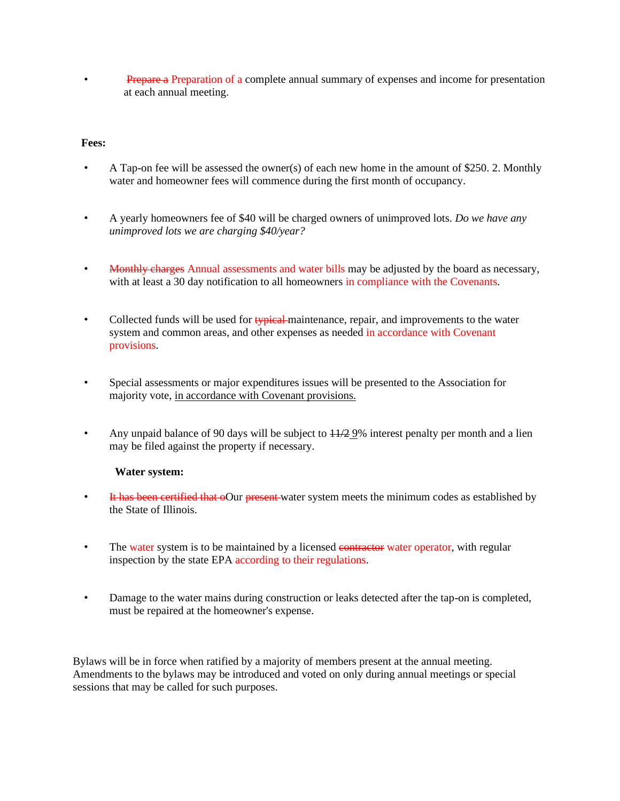• Prepare a Preparation of a complete annual summary of expenses and income for presentation at each annual meeting.

# **Fees:**

- A Tap-on fee will be assessed the owner(s) of each new home in the amount of \$250. 2. Monthly water and homeowner fees will commence during the first month of occupancy.
- A yearly homeowners fee of \$40 will be charged owners of unimproved lots. *Do we have any unimproved lots we are charging \$40/year?*
- Monthly charges Annual assessments and water bills may be adjusted by the board as necessary, with at least a 30 day notification to all homeowners in compliance with the Covenants.
- Collected funds will be used for typical maintenance, repair, and improvements to the water system and common areas, and other expenses as needed in accordance with Covenant provisions.
- Special assessments or major expenditures issues will be presented to the Association for majority vote, in accordance with Covenant provisions.
- Any unpaid balance of 90 days will be subject to  $\frac{11}{2}$  9% interest penalty per month and a lien may be filed against the property if necessary.

# **Water system:**

- It has been certified that oOur present water system meets the minimum codes as established by the State of Illinois.
- The water system is to be maintained by a licensed **contractor** water operator, with regular inspection by the state EPA according to their regulations.
- Damage to the water mains during construction or leaks detected after the tap-on is completed, must be repaired at the homeowner's expense.

Bylaws will be in force when ratified by a majority of members present at the annual meeting. Amendments to the bylaws may be introduced and voted on only during annual meetings or special sessions that may be called for such purposes.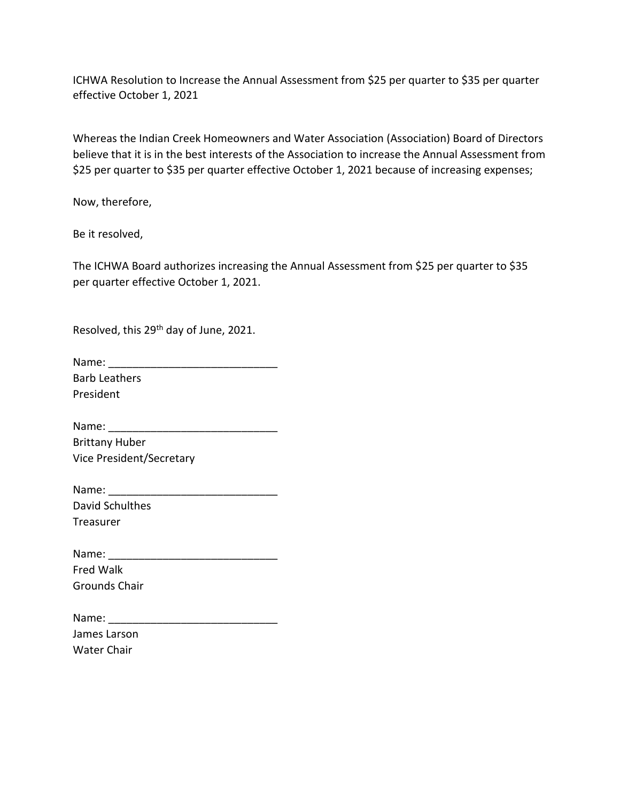ICHWA Resolution to Increase the Annual Assessment from \$25 per quarter to \$35 per quarter effective October 1, 2021

Whereas the Indian Creek Homeowners and Water Association (Association) Board of Directors believe that it is in the best interests of the Association to increase the Annual Assessment from \$25 per quarter to \$35 per quarter effective October 1, 2021 because of increasing expenses;

Now, therefore,

Be it resolved,

The ICHWA Board authorizes increasing the Annual Assessment from \$25 per quarter to \$35 per quarter effective October 1, 2021.

Resolved, this 29th day of June, 2021.

| Name:                |  |
|----------------------|--|
| <b>Barb Leathers</b> |  |
| President            |  |

Name: Brittany Huber Vice President/Secretary

| Name:           |  |
|-----------------|--|
| David Schulthes |  |
| Treasurer       |  |

Name: \_\_\_\_\_\_\_\_\_\_\_\_\_\_\_\_\_\_\_\_\_\_\_\_\_\_\_\_ Fred Walk Grounds Chair

| Name:              |  |
|--------------------|--|
| James Larson       |  |
| <b>Water Chair</b> |  |